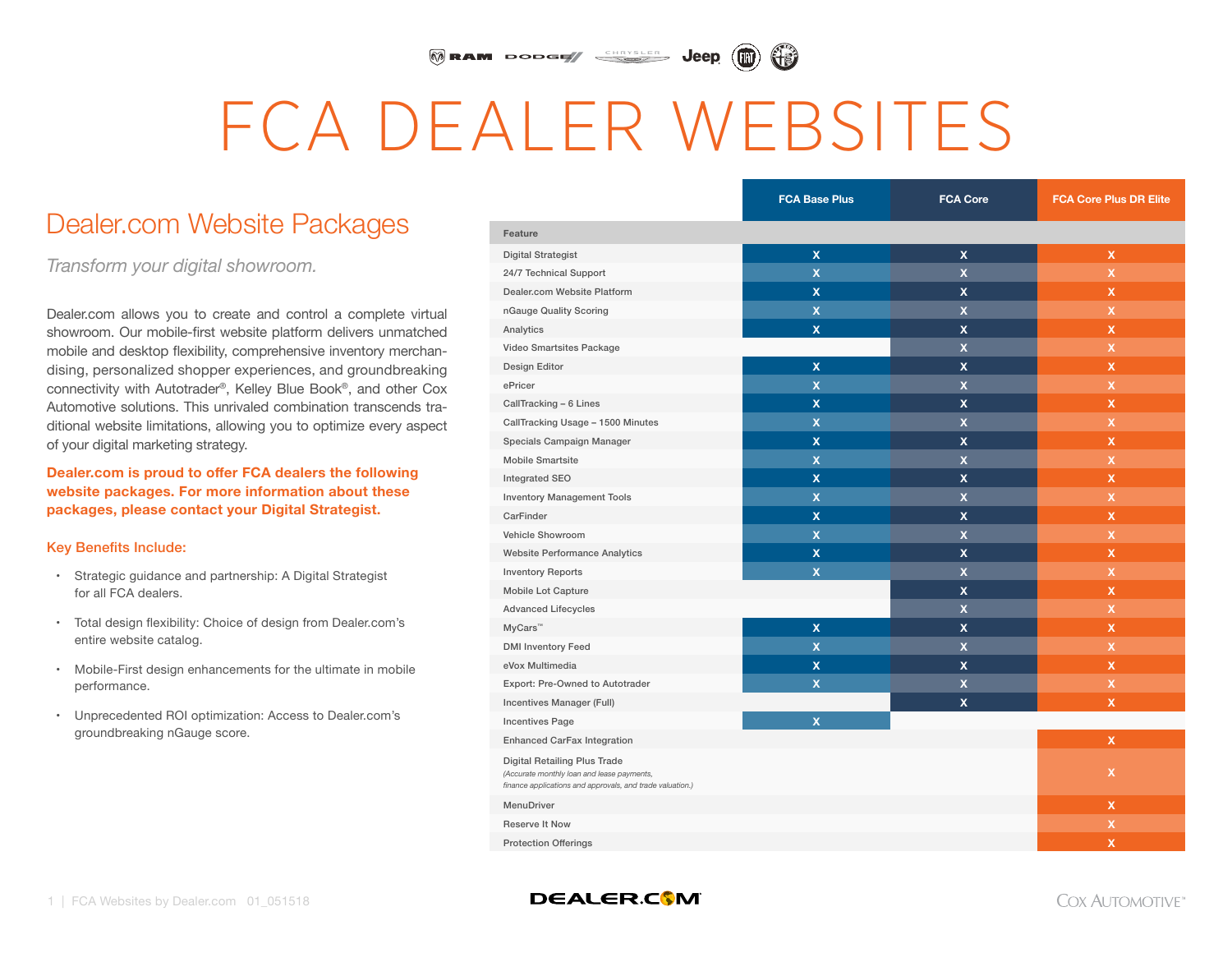#### MRAM DODGE SHRYSLER Jeep

# FCA DEALER WEBSITES

# Dealer.com Website Packages

*Transform your digital showroom.*

Dealer.com allows you to create and control a complete virtual showroom. Our mobile-first website platform delivers unmatched mobile and desktop flexibility, comprehensive inventory merchandising, personalized shopper experiences, and groundbreaking connectivity with Autotrader®, Kelley Blue Book®, and other Cox Automotive solutions. This unrivaled combination transcends traditional website limitations, allowing you to optimize every aspect of your digital marketing strategy.

**Dealer.com is proud to offer FCA dealers the following website packages. For more information about these packages, please contact your Digital Strategist.**

#### Key Benefits Include:

- Strategic guidance and partnership: A Digital Strategist for all FCA dealers.
- Total design flexibility: Choice of design from Dealer.com's entire website catalog.
- Mobile-First design enhancements for the ultimate in mobile performance.
- Unprecedented ROI optimization: Access to Dealer.com's groundbreaking nGauge score.

|                                                                                                                                                | <b>FCA Base Plus</b>    | <b>FCA Core</b>           | <b>FCA Core Plus DR Elite</b> |
|------------------------------------------------------------------------------------------------------------------------------------------------|-------------------------|---------------------------|-------------------------------|
| Feature                                                                                                                                        |                         |                           |                               |
| <b>Digital Strategist</b>                                                                                                                      | $\mathbf x$             | $\boldsymbol{\mathsf{x}}$ | $\mathbf x$                   |
| 24/7 Technical Support                                                                                                                         | $\overline{\mathbf{x}}$ | $\overline{\mathbf{x}}$   | X                             |
| Dealer.com Website Platform                                                                                                                    | $\mathbf x$             | x                         | x                             |
| nGauge Quality Scoring                                                                                                                         | $\mathbf x$             | $\mathbf x$               | $\mathsf X$                   |
| Analytics                                                                                                                                      | $\mathbf x$             | x                         | x                             |
| Video Smartsites Package                                                                                                                       |                         | $\mathbf x$               | x                             |
| Design Editor                                                                                                                                  | $\mathbf x$             | $\mathbf x$               | x                             |
| ePricer                                                                                                                                        | $\overline{\mathbf{x}}$ | $\overline{\mathbf{x}}$   | x                             |
| CallTracking - 6 Lines                                                                                                                         | $\mathbf x$             | X                         | $\mathsf{x}$                  |
| CallTracking Usage - 1500 Minutes                                                                                                              | $\overline{\mathbf{x}}$ | $\overline{\mathbf{x}}$   | $\mathsf{x}$                  |
| Specials Campaign Manager                                                                                                                      | $\mathbf{x}$            | X                         | $\mathsf{x}$                  |
| <b>Mobile Smartsite</b>                                                                                                                        | $\overline{\mathbf{x}}$ | $\mathbf x$               | $\pmb{\times}$                |
| Integrated SEO                                                                                                                                 | $\mathbf x$             | x                         | x                             |
| <b>Inventory Management Tools</b>                                                                                                              | $\mathbf x$             | $\overline{\mathsf{x}}$   | X                             |
| CarFinder                                                                                                                                      | $\mathbf{x}$            | x                         | x                             |
| <b>Vehicle Showroom</b>                                                                                                                        | $\mathbf x$             | $\mathbf x$               | $\pmb{\times}$                |
| <b>Website Performance Analytics</b>                                                                                                           | $\mathbf{x}$            | X                         | $\mathbf x$                   |
| <b>Inventory Reports</b>                                                                                                                       | $\mathbf{x}$            | $\overline{\mathbf{x}}$   | $\mathbf x$                   |
| <b>Mobile Lot Capture</b>                                                                                                                      |                         | X                         | $\mathsf{x}$                  |
| <b>Advanced Lifecycles</b>                                                                                                                     |                         | $\overline{\mathbf{x}}$   | $\mathbf x$                   |
| MyCars <sup>™</sup>                                                                                                                            | $\mathbf x$             | X                         | $\mathsf{x}$                  |
| <b>DMI Inventory Feed</b>                                                                                                                      | $\mathbf x$             | $\mathbf x$               | X                             |
| eVox Multimedia                                                                                                                                | X                       | x                         | x                             |
| Export: Pre-Owned to Autotrader                                                                                                                | $\mathbf x$             | X                         | X                             |
| Incentives Manager (Full)                                                                                                                      |                         | $\boldsymbol{\mathsf{x}}$ | $\pmb{\mathsf{x}}$            |
| <b>Incentives Page</b>                                                                                                                         | $\mathbf x$             |                           |                               |
| Enhanced CarFax Integration                                                                                                                    |                         |                           | $\mathbf x$                   |
| <b>Digital Retailing Plus Trade</b><br>(Accurate monthly loan and lease payments,<br>finance applications and approvals, and trade valuation.) |                         |                           | x                             |
| MenuDriver                                                                                                                                     |                         |                           | $\mathsf{x}$                  |
| <b>Reserve It Now</b>                                                                                                                          |                         |                           | X                             |
| <b>Protection Offerings</b>                                                                                                                    |                         |                           | $\boldsymbol{\mathsf{x}}$     |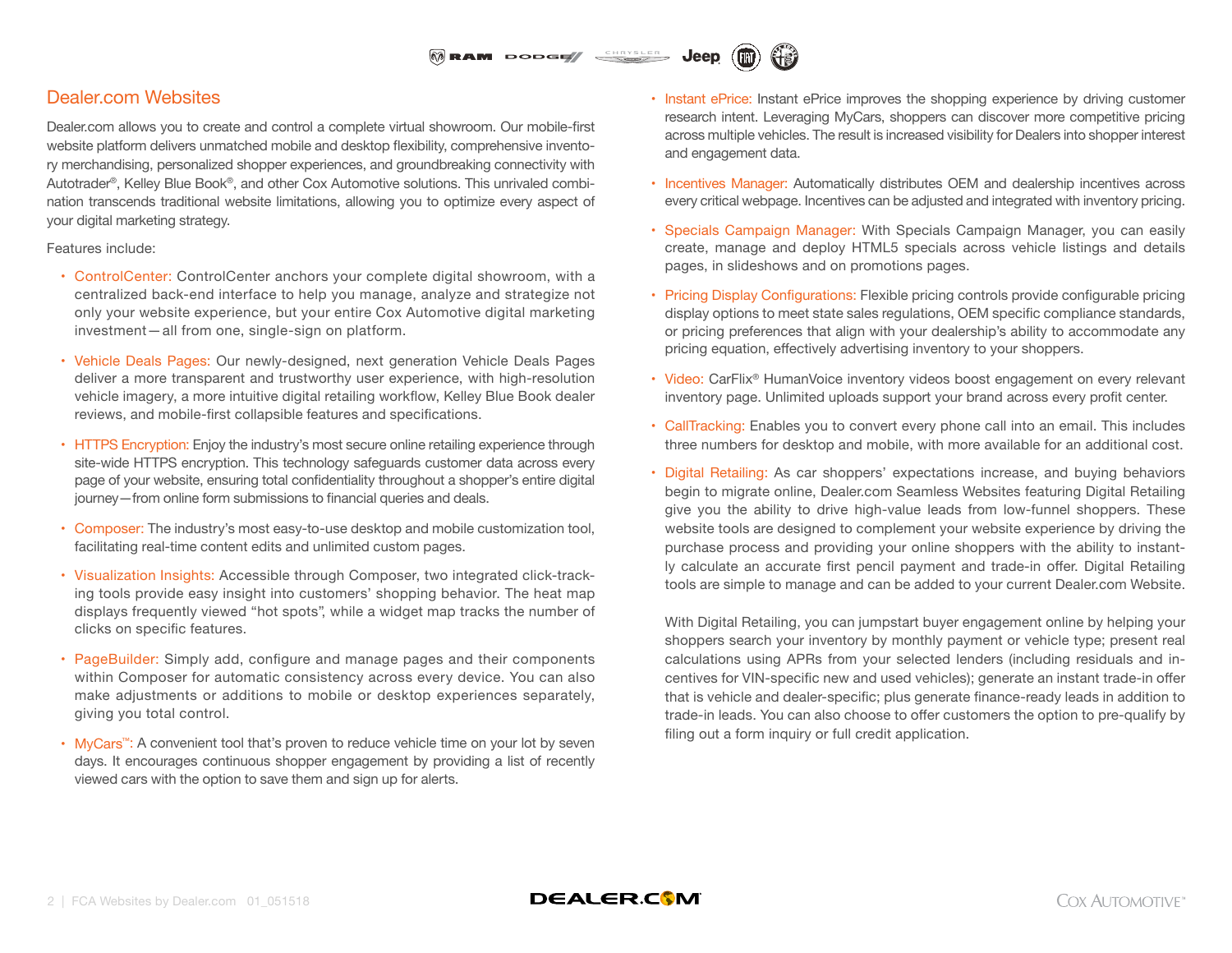#### $\widehat{\mathbb{M}}$  RAM DODGE/  $\overbrace{\phantom{a}}^{\text{CHRYSLER}}$



Jeen

### Dealer.com Websites

Dealer.com allows you to create and control a complete virtual showroom. Our mobile-first website platform delivers unmatched mobile and desktop flexibility, comprehensive inventory merchandising, personalized shopper experiences, and groundbreaking connectivity with Autotrader®, Kelley Blue Book®, and other Cox Automotive solutions. This unrivaled combination transcends traditional website limitations, allowing you to optimize every aspect of your digital marketing strategy.

#### Features include:

- ControlCenter: ControlCenter anchors your complete digital showroom, with a centralized back-end interface to help you manage, analyze and strategize not only your website experience, but your entire Cox Automotive digital marketing investment—all from one, single-sign on platform.
- Vehicle Deals Pages: Our newly-designed, next generation Vehicle Deals Pages deliver a more transparent and trustworthy user experience, with high-resolution vehicle imagery, a more intuitive digital retailing workflow, Kelley Blue Book dealer reviews, and mobile-first collapsible features and specifications.
- HTTPS Encryption: Enjoy the industry's most secure online retailing experience through site-wide HTTPS encryption. This technology safeguards customer data across every page of your website, ensuring total confidentiality throughout a shopper's entire digital journey—from online form submissions to financial queries and deals.
- Composer: The industry's most easy-to-use desktop and mobile customization tool, facilitating real-time content edits and unlimited custom pages.
- Visualization Insights: Accessible through Composer, two integrated click-tracking tools provide easy insight into customers' shopping behavior. The heat map displays frequently viewed "hot spots", while a widget map tracks the number of clicks on specific features.
- PageBuilder: Simply add, configure and manage pages and their components within Composer for automatic consistency across every device. You can also make adjustments or additions to mobile or desktop experiences separately, giving you total control.
- MyCars™: A convenient tool that's proven to reduce vehicle time on your lot by seven days. It encourages continuous shopper engagement by providing a list of recently viewed cars with the option to save them and sign up for alerts.
- Instant ePrice: Instant ePrice improves the shopping experience by driving customer research intent. Leveraging MyCars, shoppers can discover more competitive pricing across multiple vehicles. The result is increased visibility for Dealers into shopper interest and engagement data.
- Incentives Manager: Automatically distributes OEM and dealership incentives across every critical webpage. Incentives can be adjusted and integrated with inventory pricing.
- Specials Campaign Manager: With Specials Campaign Manager, you can easily create, manage and deploy HTML5 specials across vehicle listings and details pages, in slideshows and on promotions pages.
- Pricing Display Configurations: Flexible pricing controls provide configurable pricing display options to meet state sales regulations, OEM specific compliance standards, or pricing preferences that align with your dealership's ability to accommodate any pricing equation, effectively advertising inventory to your shoppers.
- Video: CarFlix® HumanVoice inventory videos boost engagement on every relevant inventory page. Unlimited uploads support your brand across every profit center.
- CallTracking: Enables you to convert every phone call into an email. This includes three numbers for desktop and mobile, with more available for an additional cost.
- Digital Retailing: As car shoppers' expectations increase, and buying behaviors begin to migrate online, Dealer.com Seamless Websites featuring Digital Retailing give you the ability to drive high-value leads from low-funnel shoppers. These website tools are designed to complement your website experience by driving the purchase process and providing your online shoppers with the ability to instantly calculate an accurate first pencil payment and trade-in offer. Digital Retailing tools are simple to manage and can be added to your current Dealer.com Website.

With Digital Retailing, you can jumpstart buyer engagement online by helping your shoppers search your inventory by monthly payment or vehicle type; present real calculations using APRs from your selected lenders (including residuals and incentives for VIN-specific new and used vehicles); generate an instant trade-in offer that is vehicle and dealer-specific; plus generate finance-ready leads in addition to trade-in leads. You can also choose to offer customers the option to pre-qualify by filing out a form inquiry or full credit application.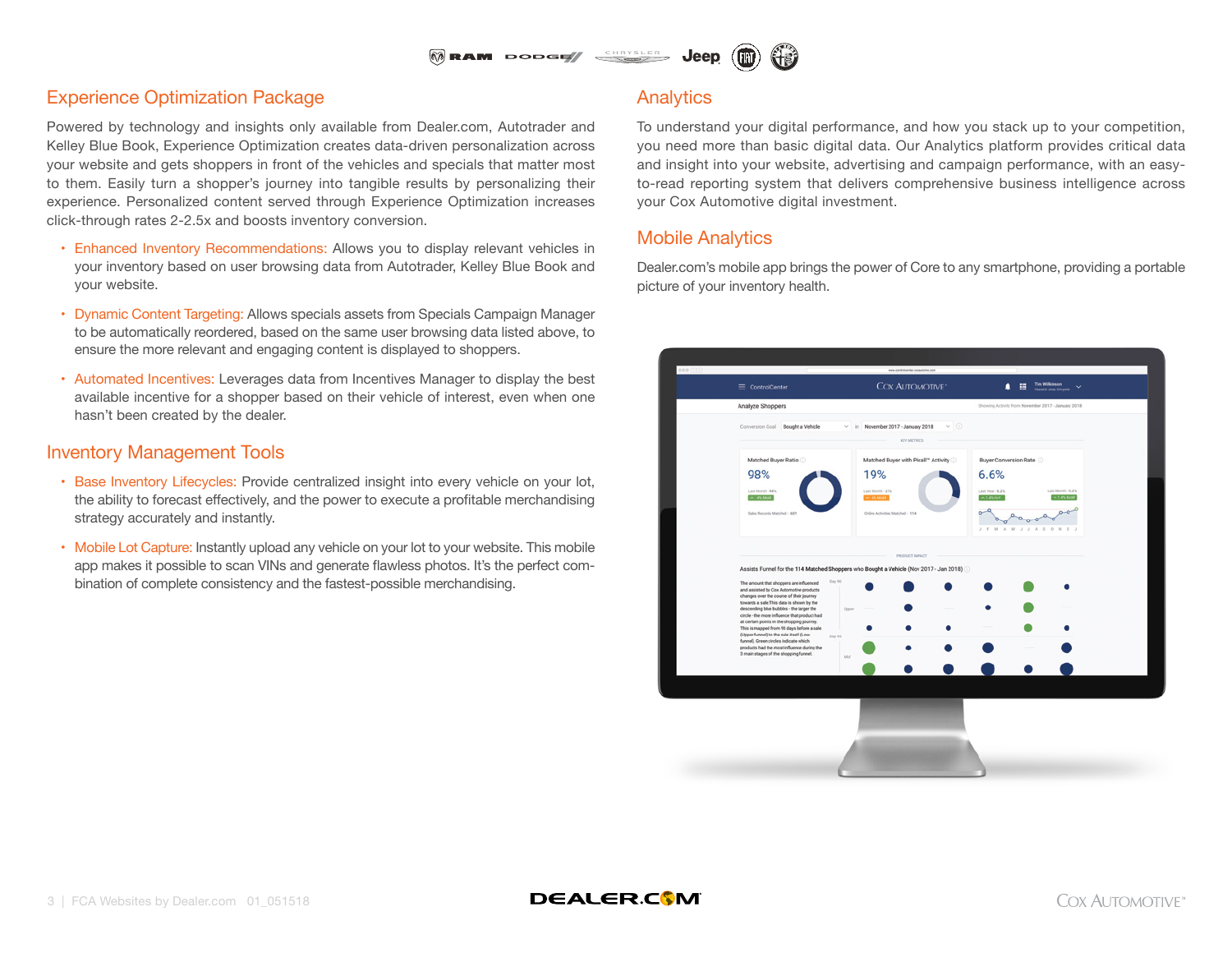

## Experience Optimization Package

Powered by technology and insights only available from Dealer.com, Autotrader and Kelley Blue Book, Experience Optimization creates data-driven personalization across your website and gets shoppers in front of the vehicles and specials that matter most to them. Easily turn a shopper's journey into tangible results by personalizing their experience. Personalized content served through Experience Optimization increases click-through rates 2-2.5x and boosts inventory conversion.

- Enhanced Inventory Recommendations: Allows you to display relevant vehicles in your inventory based on user browsing data from Autotrader, Kelley Blue Book and your website.
- Dynamic Content Targeting: Allows specials assets from Specials Campaign Manager to be automatically reordered, based on the same user browsing data listed above, to ensure the more relevant and engaging content is displayed to shoppers.
- Automated Incentives: Leverages data from Incentives Manager to display the best available incentive for a shopper based on their vehicle of interest, even when one hasn't been created by the dealer.

### Inventory Management Tools

- Base Inventory Lifecycles: Provide centralized insight into every vehicle on your lot, the ability to forecast effectively, and the power to execute a profitable merchandising strategy accurately and instantly.
- Mobile Lot Capture: Instantly upload any vehicle on your lot to your website. This mobile app makes it possible to scan VINs and generate flawless photos. It's the perfect combination of complete consistency and the fastest-possible merchandising.

#### **Analytics**

To understand your digital performance, and how you stack up to your competition, you need more than basic digital data. Our Analytics platform provides critical data and insight into your website, advertising and campaign performance, with an easyto-read reporting system that delivers comprehensive business intelligence across your Cox Automotive digital investment.

#### Mobile Analytics

Dealer.com's mobile app brings the power of Core to any smartphone, providing a portable picture of your inventory health.